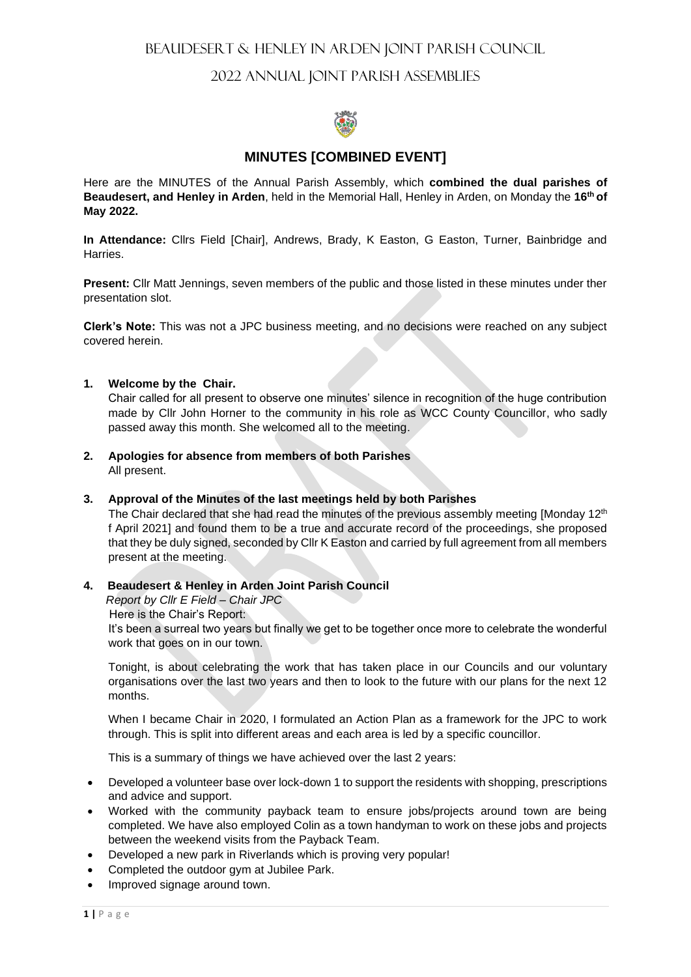# 2022 ANNUAL JOINT PARISH ASSEMBLIES



# **MINUTES [COMBINED EVENT]**

Here are the MINUTES of the Annual Parish Assembly, which **combined the dual parishes of Beaudesert, and Henley in Arden**, held in the Memorial Hall, Henley in Arden, on Monday the **16th of May 2022.**

**In Attendance:** Cllrs Field [Chair], Andrews, Brady, K Easton, G Easton, Turner, Bainbridge and **Harries** 

**Present:** Cllr Matt Jennings, seven members of the public and those listed in these minutes under ther presentation slot.

**Clerk's Note:** This was not a JPC business meeting, and no decisions were reached on any subject covered herein.

#### **1. Welcome by the Chair.**

Chair called for all present to observe one minutes' silence in recognition of the huge contribution made by Cllr John Horner to the community in his role as WCC County Councillor, who sadly passed away this month. She welcomed all to the meeting.

**2. Apologies for absence from members of both Parishes**  All present.

#### **3. Approval of the Minutes of the last meetings held by both Parishes**

The Chair declared that she had read the minutes of the previous assembly meeting [Monday 12<sup>th</sup> f April 2021] and found them to be a true and accurate record of the proceedings, she proposed that they be duly signed, seconded by Cllr K Easton and carried by full agreement from all members present at the meeting.

# **4. Beaudesert & Henley in Arden Joint Parish Council**

 *Report by Cllr E Field – Chair JPC*

Here is the Chair's Report:

It's been a surreal two years but finally we get to be together once more to celebrate the wonderful work that goes on in our town.

Tonight, is about celebrating the work that has taken place in our Councils and our voluntary organisations over the last two years and then to look to the future with our plans for the next 12 months.

When I became Chair in 2020, I formulated an Action Plan as a framework for the JPC to work through. This is split into different areas and each area is led by a specific councillor.

This is a summary of things we have achieved over the last 2 years:

- Developed a volunteer base over lock-down 1 to support the residents with shopping, prescriptions and advice and support.
- Worked with the community payback team to ensure jobs/projects around town are being completed. We have also employed Colin as a town handyman to work on these jobs and projects between the weekend visits from the Payback Team.
- Developed a new park in Riverlands which is proving very popular!
- Completed the outdoor gym at Jubilee Park.
- Improved signage around town.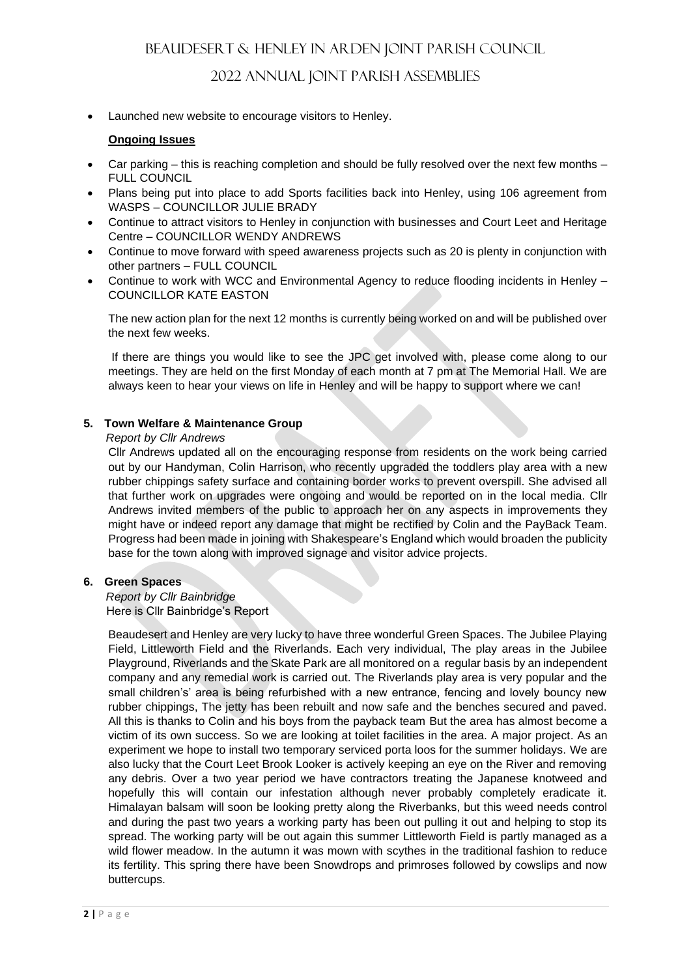# 2022 ANNUAL JOINT PARISH ASSEMBLIES

• Launched new website to encourage visitors to Henley.

# **Ongoing Issues**

- Car parking this is reaching completion and should be fully resolved over the next few months FULL COUNCIL
- Plans being put into place to add Sports facilities back into Henley, using 106 agreement from WASPS – COUNCILLOR JULIE BRADY
- Continue to attract visitors to Henley in conjunction with businesses and Court Leet and Heritage Centre – COUNCILLOR WENDY ANDREWS
- Continue to move forward with speed awareness projects such as 20 is plenty in conjunction with other partners – FULL COUNCIL
- Continue to work with WCC and Environmental Agency to reduce flooding incidents in Henley COUNCILLOR KATE EASTON

The new action plan for the next 12 months is currently being worked on and will be published over the next few weeks.

If there are things you would like to see the JPC get involved with, please come along to our meetings. They are held on the first Monday of each month at 7 pm at The Memorial Hall. We are always keen to hear your views on life in Henley and will be happy to support where we can!

# **5. Town Welfare & Maintenance Group**

#### *Report by Cllr Andrews*

Cllr Andrews updated all on the encouraging response from residents on the work being carried out by our Handyman, Colin Harrison, who recently upgraded the toddlers play area with a new rubber chippings safety surface and containing border works to prevent overspill. She advised all that further work on upgrades were ongoing and would be reported on in the local media. Cllr Andrews invited members of the public to approach her on any aspects in improvements they might have or indeed report any damage that might be rectified by Colin and the PayBack Team. Progress had been made in joining with Shakespeare's England which would broaden the publicity base for the town along with improved signage and visitor advice projects.

## **6. Green Spaces**

#### *Report by Cllr Bainbridge*  Here is Cllr Bainbridge's Report

Beaudesert and Henley are very lucky to have three wonderful Green Spaces. The Jubilee Playing Field, Littleworth Field and the Riverlands. Each very individual, The play areas in the Jubilee Playground, Riverlands and the Skate Park are all monitored on a regular basis by an independent company and any remedial work is carried out. The Riverlands play area is very popular and the small children's' area is being refurbished with a new entrance, fencing and lovely bouncy new rubber chippings, The jetty has been rebuilt and now safe and the benches secured and paved. All this is thanks to Colin and his boys from the payback team But the area has almost become a victim of its own success. So we are looking at toilet facilities in the area. A major project. As an experiment we hope to install two temporary serviced porta loos for the summer holidays. We are also lucky that the Court Leet Brook Looker is actively keeping an eye on the River and removing any debris. Over a two year period we have contractors treating the Japanese knotweed and hopefully this will contain our infestation although never probably completely eradicate it. Himalayan balsam will soon be looking pretty along the Riverbanks, but this weed needs control and during the past two years a working party has been out pulling it out and helping to stop its spread. The working party will be out again this summer Littleworth Field is partly managed as a wild flower meadow. In the autumn it was mown with scythes in the traditional fashion to reduce its fertility. This spring there have been Snowdrops and primroses followed by cowslips and now buttercups.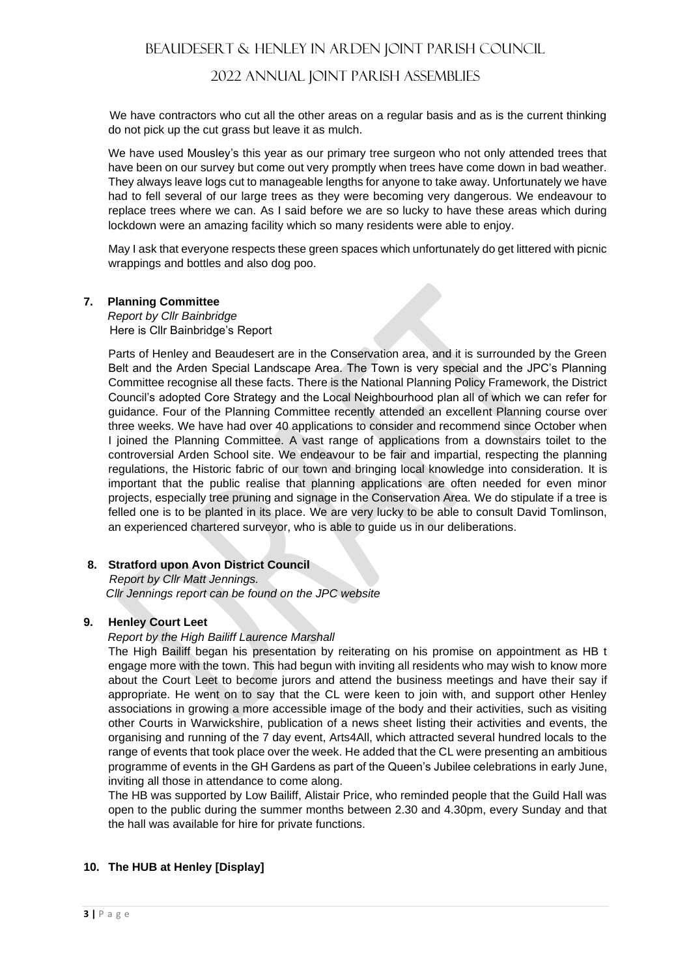# 2022 ANNUAL JOINT PARISH ASSEMBLIES

 We have contractors who cut all the other areas on a regular basis and as is the current thinking do not pick up the cut grass but leave it as mulch.

We have used Mousley's this year as our primary tree surgeon who not only attended trees that have been on our survey but come out very promptly when trees have come down in bad weather. They always leave logs cut to manageable lengths for anyone to take away. Unfortunately we have had to fell several of our large trees as they were becoming very dangerous. We endeavour to replace trees where we can. As I said before we are so lucky to have these areas which during lockdown were an amazing facility which so many residents were able to enjoy.

May I ask that everyone respects these green spaces which unfortunately do get littered with picnic wrappings and bottles and also dog poo.

## **7. Planning Committee**

*Report by Cllr Bainbridge*  Here is Cllr Bainbridge's Report

Parts of Henley and Beaudesert are in the Conservation area, and it is surrounded by the Green Belt and the Arden Special Landscape Area. The Town is very special and the JPC's Planning Committee recognise all these facts. There is the National Planning Policy Framework, the District Council's adopted Core Strategy and the Local Neighbourhood plan all of which we can refer for guidance. Four of the Planning Committee recently attended an excellent Planning course over three weeks. We have had over 40 applications to consider and recommend since October when I joined the Planning Committee. A vast range of applications from a downstairs toilet to the controversial Arden School site. We endeavour to be fair and impartial, respecting the planning regulations, the Historic fabric of our town and bringing local knowledge into consideration. It is important that the public realise that planning applications are often needed for even minor projects, especially tree pruning and signage in the Conservation Area. We do stipulate if a tree is felled one is to be planted in its place. We are very lucky to be able to consult David Tomlinson, an experienced chartered surveyor, who is able to guide us in our deliberations.

# **8. Stratford upon Avon District Council**

 *Report by Cllr Matt Jennings. Cllr Jennings report can be found on the JPC website*

## **9. Henley Court Leet**

## *Report by the High Bailiff Laurence Marshall*

The High Bailiff began his presentation by reiterating on his promise on appointment as HB t engage more with the town. This had begun with inviting all residents who may wish to know more about the Court Leet to become jurors and attend the business meetings and have their say if appropriate. He went on to say that the CL were keen to join with, and support other Henley associations in growing a more accessible image of the body and their activities, such as visiting other Courts in Warwickshire, publication of a news sheet listing their activities and events, the organising and running of the 7 day event, Arts4All, which attracted several hundred locals to the range of events that took place over the week. He added that the CL were presenting an ambitious programme of events in the GH Gardens as part of the Queen's Jubilee celebrations in early June, inviting all those in attendance to come along.

The HB was supported by Low Bailiff, Alistair Price, who reminded people that the Guild Hall was open to the public during the summer months between 2.30 and 4.30pm, every Sunday and that the hall was available for hire for private functions.

# **10. The HUB at Henley [Display]**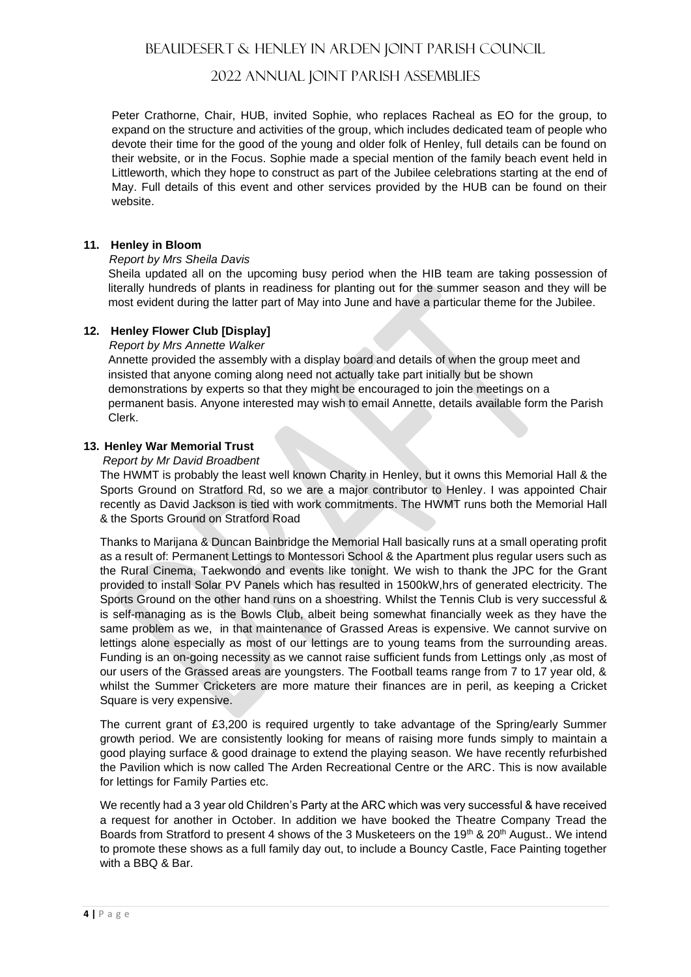# 2022 ANNUAL JOINT PARISH ASSEMBLIES

Peter Crathorne, Chair, HUB, invited Sophie, who replaces Racheal as EO for the group, to expand on the structure and activities of the group, which includes dedicated team of people who devote their time for the good of the young and older folk of Henley, full details can be found on their website, or in the Focus. Sophie made a special mention of the family beach event held in Littleworth, which they hope to construct as part of the Jubilee celebrations starting at the end of May. Full details of this event and other services provided by the HUB can be found on their website.

#### **11. Henley in Bloom**

#### *Report by Mrs Sheila Davis*

Sheila updated all on the upcoming busy period when the HIB team are taking possession of literally hundreds of plants in readiness for planting out for the summer season and they will be most evident during the latter part of May into June and have a particular theme for the Jubilee.

## **12. Henley Flower Club [Display]**

#### *Report by Mrs Annette Walker*

Annette provided the assembly with a display board and details of when the group meet and insisted that anyone coming along need not actually take part initially but be shown demonstrations by experts so that they might be encouraged to join the meetings on a permanent basis. Anyone interested may wish to email Annette, details available form the Parish Clerk.

## **13. Henley War Memorial Trust**

#### *Report by Mr David Broadbent*

The HWMT is probably the least well known Charity in Henley, but it owns this Memorial Hall & the Sports Ground on Stratford Rd, so we are a major contributor to Henley. I was appointed Chair recently as David Jackson is tied with work commitments. The HWMT runs both the Memorial Hall & the Sports Ground on Stratford Road

Thanks to Marijana & Duncan Bainbridge the Memorial Hall basically runs at a small operating profit as a result of: Permanent Lettings to Montessori School & the Apartment plus regular users such as the Rural Cinema, Taekwondo and events like tonight. We wish to thank the JPC for the Grant provided to install Solar PV Panels which has resulted in 1500kW,hrs of generated electricity. The Sports Ground on the other hand runs on a shoestring. Whilst the Tennis Club is very successful & is self-managing as is the Bowls Club, albeit being somewhat financially week as they have the same problem as we, in that maintenance of Grassed Areas is expensive. We cannot survive on lettings alone especially as most of our lettings are to young teams from the surrounding areas. Funding is an on-going necessity as we cannot raise sufficient funds from Lettings only ,as most of our users of the Grassed areas are youngsters. The Football teams range from 7 to 17 year old, & whilst the Summer Cricketers are more mature their finances are in peril, as keeping a Cricket Square is very expensive.

The current grant of £3,200 is required urgently to take advantage of the Spring/early Summer growth period. We are consistently looking for means of raising more funds simply to maintain a good playing surface & good drainage to extend the playing season. We have recently refurbished the Pavilion which is now called The Arden Recreational Centre or the ARC. This is now available for lettings for Family Parties etc.

We recently had a 3 year old Children's Party at the ARC which was very successful & have received a request for another in October. In addition we have booked the Theatre Company Tread the Boards from Stratford to present 4 shows of the 3 Musketeers on the 19th & 20th August.. We intend to promote these shows as a full family day out, to include a Bouncy Castle, Face Painting together with a BBQ & Bar.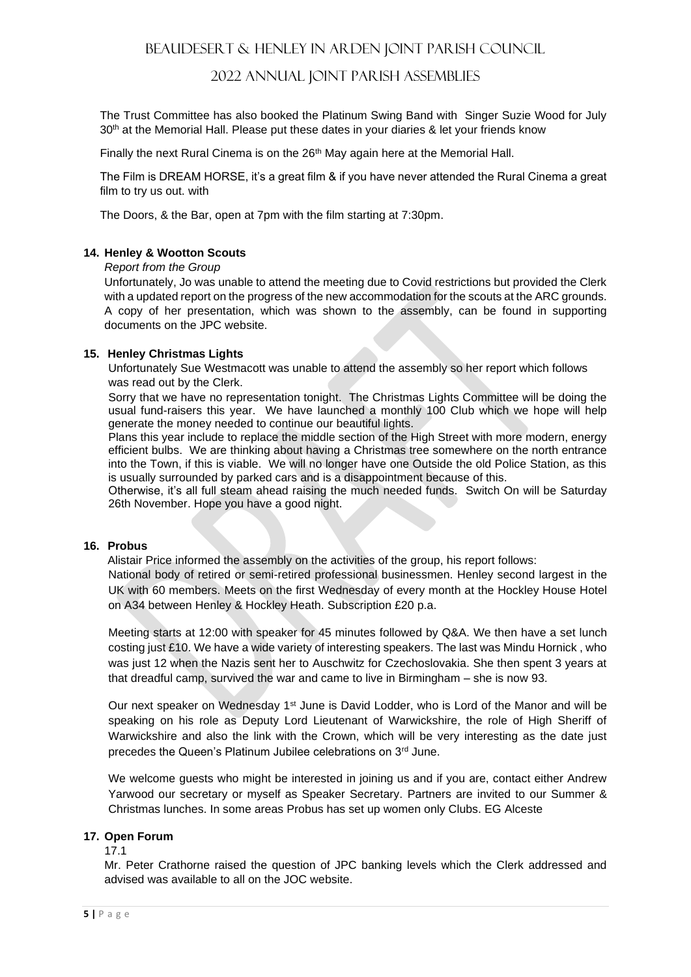# 2022 ANNUAL JOINT PARISH ASSEMBLIES

The Trust Committee has also booked the Platinum Swing Band with Singer Suzie Wood for July 30<sup>th</sup> at the Memorial Hall. Please put these dates in your diaries & let your friends know

Finally the next Rural Cinema is on the  $26<sup>th</sup>$  May again here at the Memorial Hall.

The Film is DREAM HORSE, it's a great film & if you have never attended the Rural Cinema a great film to try us out. with

The Doors, & the Bar, open at 7pm with the film starting at 7:30pm.

### **14. Henley & Wootton Scouts**

#### *Report from the Group*

Unfortunately, Jo was unable to attend the meeting due to Covid restrictions but provided the Clerk with a updated report on the progress of the new accommodation for the scouts at the ARC grounds. A copy of her presentation, which was shown to the assembly, can be found in supporting documents on the JPC website.

#### **15. Henley Christmas Lights**

Unfortunately Sue Westmacott was unable to attend the assembly so her report which follows was read out by the Clerk.

Sorry that we have no representation tonight. The Christmas Lights Committee will be doing the usual fund-raisers this year. We have launched a monthly 100 Club which we hope will help generate the money needed to continue our beautiful lights.

Plans this year include to replace the middle section of the High Street with more modern, energy efficient bulbs. We are thinking about having a Christmas tree somewhere on the north entrance into the Town, if this is viable. We will no longer have one Outside the old Police Station, as this is usually surrounded by parked cars and is a disappointment because of this.

Otherwise, it's all full steam ahead raising the much needed funds. Switch On will be Saturday 26th November. Hope you have a good night.

#### **16. Probus**

Alistair Price informed the assembly on the activities of the group, his report follows: National body of retired or semi-retired professional businessmen. Henley second largest in the

UK with 60 members. Meets on the first Wednesday of every month at the Hockley House Hotel on A34 between Henley & Hockley Heath. Subscription £20 p.a.

Meeting starts at 12:00 with speaker for 45 minutes followed by Q&A. We then have a set lunch costing just £10. We have a wide variety of interesting speakers. The last was Mindu Hornick , who was just 12 when the Nazis sent her to Auschwitz for Czechoslovakia. She then spent 3 years at that dreadful camp, survived the war and came to live in Birmingham – she is now 93.

Our next speaker on Wednesday 1<sup>st</sup> June is David Lodder, who is Lord of the Manor and will be speaking on his role as Deputy Lord Lieutenant of Warwickshire, the role of High Sheriff of Warwickshire and also the link with the Crown, which will be very interesting as the date just precedes the Queen's Platinum Jubilee celebrations on 3rd June.

We welcome guests who might be interested in joining us and if you are, contact either Andrew Yarwood our secretary or myself as Speaker Secretary. Partners are invited to our Summer & Christmas lunches. In some areas Probus has set up women only Clubs. EG Alceste

## **17. Open Forum**

#### 17.1

Mr. Peter Crathorne raised the question of JPC banking levels which the Clerk addressed and advised was available to all on the JOC website.